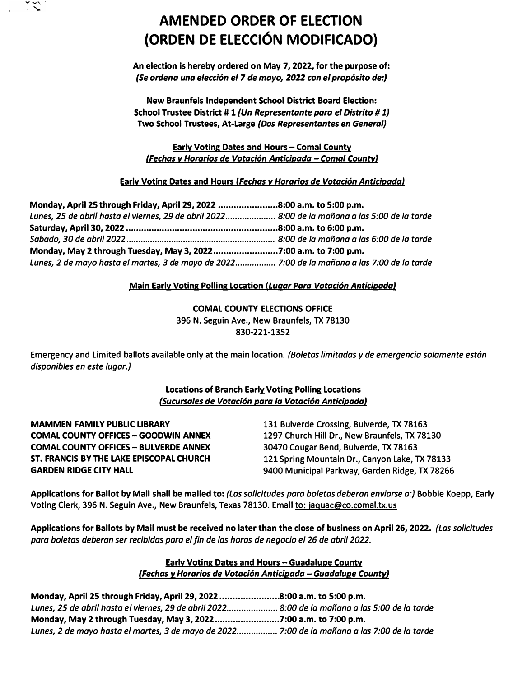

# **AMENDED ORDER OF ELECTION (ORDEN DE ELECCION MODIFICADO)**

**An election is hereby ordered on May 7, 2022, for the purpose of:**  *{Se ordena una elecci6n el 7 de mayo, 2022 con el prop6sito de:)* 

**New Braunfels Independent School District Board Election: School Trustee District # 1** *(Un Representante para el Distrlto* **#** *1)*  **Two School Trustees, At-Large** *(Dos Representantes en General)* 

**Early Voting Dates and Hours - Comal County** *(Fechas v Horarios de Votaci6n Anticipada* - *Comal County}* 

**Early Voting Dates and Hours** *(Fechas v Horarios de Votaci6n AnticipadaJ* 

**Monday, April 25 through Friday, April 29, 2022 ....................... 8:00 a.m. to 5:00 p.m.**  *Lunes, 25 de abri/ hosto el viemes, 29 de abri/ 2022 ..................... 8:00 de la manana a las 5:00 de la tarde*  **Saturday, April 30, 2022 ........................................................... 8:00 a.m. to 6:00 p.m.**  *Sabado, 30 de abril 2022* ............................................................... *8:00 de la manano a las 6:00 de la tarde*  **Monday, May 2 through Tuesday, May 3, 2022 ......................... 7:00 a.m. to 7:00 p.m.**  *Lunes, 2 de mayo hosto el martes, 3 de mayo de 2022 ................. 7:00 de la manana a las 7:00 de la tarde* 

# **Main Early Voting Polling Location** *(Lugar Para Votaci6n Anticipada}*

**COMAL COUNTY ELECTIONS OFFICE** 

**396 N. Seguin Ave., New Braunfels, TX 78130 830-221-1352**

**Emergency and Limited ballots available only at the main location.** *(Bo/etas limitadas y de emergencia solamente estan disponibles en este lugar.)* 

# **Locations of Branch Early Voting Polling Locations**  *(Sucursales de Votacl6n para la Votaci6n AnticipadaJ*

**MAMMEN FAMILY PUBLIC LIBRARY COMAL COUNTY OFFICES - GOODWIN ANNEX COMAL COUNTY OFFICES - BULVERDE ANNEX ST. FRANCIS BY THE LAKE EPISCOPAL CHURCH GARDEN RIDGE CITY HALL** 

**131 Bulverde Crossing, Bulverde, TX 78163 1297 Church Hill Dr., New Braunfels, TX 78130 30470 Cougar Bend, Bulverde, TX 78163 121 Spring Mountain Dr., Canyon Lake, TX 78133 9400 Municipal Parkway, Garden Ridge, TX 78266** 

**Applications for Ballot by Mail shall be mailed to:** *(Las solicitudes para boletas deberon enviarse a:)* **Bobbie Koepp, Early Voting Clerk, 396 N. Seguin Ave., New Braunfels, Texas 78130. Email to: jaquac@co.comal.tx.us** 

**Applications for Ballots by Mail must be received no later than the close of business on April 26, 2022.** *(Las solicitudes para bo/etas deberon ser recibidas para el fin de las horas de negocio el 26 de abril 2022.* 

## **Early Voting Dates and Hours - Guadalupe County**  *(Fechas v Horarios de Votaci6n Anticipada* **-** *Guadalupe County)*

**Monday, April 25 through Friday, April 29, 2022 ....................... 8:00 a.m. to 5:00 p.m.**  *lunes, 25 de abril hasta el viernes, 29 de abril 2022 ..................... 8:00 de la monana a las 5:00 de lo torde*  **Monday, May 2 through Tuesday, May 3, 2022 ......................... 7:00 a.m. to 7:00 p.m.**  *lunes, 2 de mayo hasta el martes, 3 de mayo de 2022 ................. 7:00 de la manana a las 7:00 de la tarde*